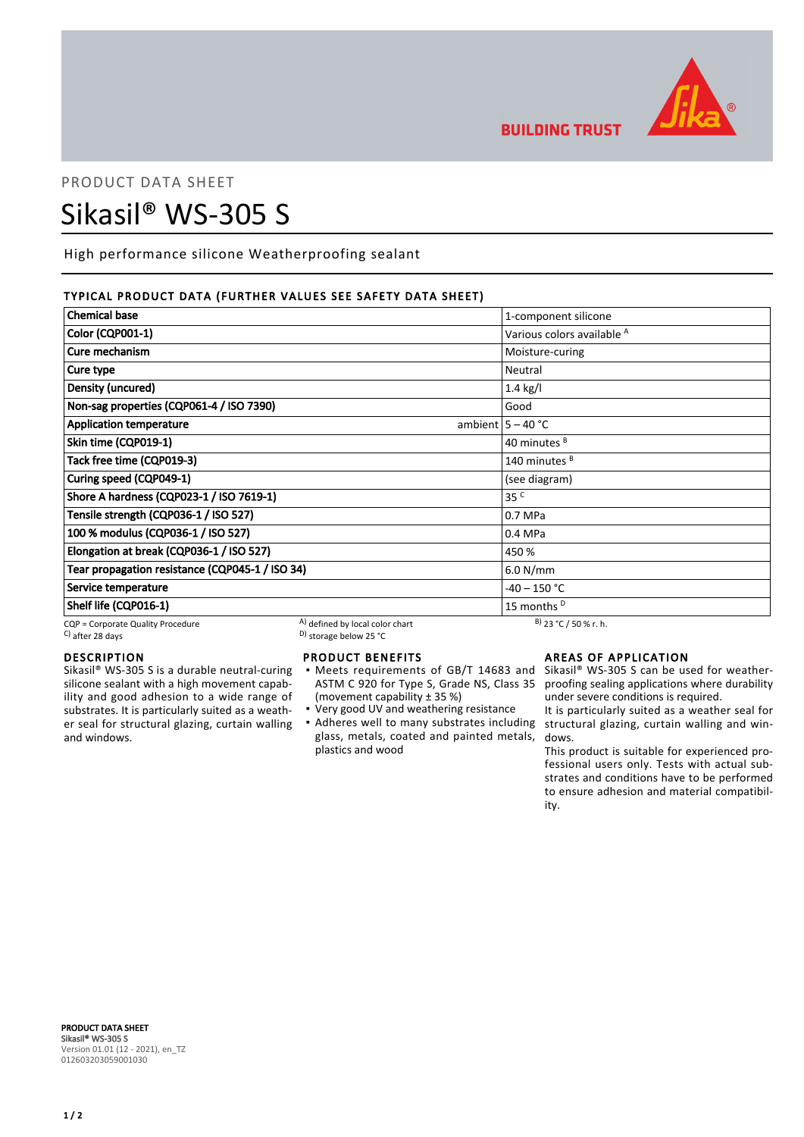

**BUILDING TRUST** 

# PRODUCT DATA SHEET Sikasil® WS-305 S

High performance silicone Weatherproofing sealant

# TYPICAL PRODUCT DATA (FURTHER VALUES SEE SAFETY DATA SHEET)

| <b>Chemical base</b>                            |                                 | 1-component silicone                  |
|-------------------------------------------------|---------------------------------|---------------------------------------|
| <b>Color (CQP001-1)</b>                         |                                 | Various colors available <sup>A</sup> |
| Cure mechanism                                  |                                 | Moisture-curing                       |
| Cure type                                       |                                 | Neutral                               |
| Density (uncured)                               |                                 | $1.4$ kg/l                            |
| Non-sag properties (CQP061-4 / ISO 7390)        |                                 | Good                                  |
| <b>Application temperature</b>                  |                                 | ambient $5 - 40$ °C                   |
| Skin time (CQP019-1)                            |                                 | 40 minutes <sup>B</sup>               |
| Tack free time (CQP019-3)                       |                                 | 140 minutes <sup>B</sup>              |
| Curing speed (CQP049-1)                         |                                 | (see diagram)                         |
| Shore A hardness (CQP023-1 / ISO 7619-1)        |                                 | 35 <sup>C</sup>                       |
| Tensile strength (CQP036-1 / ISO 527)           |                                 | 0.7 MPa                               |
| 100 % modulus (CQP036-1 / ISO 527)              |                                 | 0.4 MPa                               |
| Elongation at break (CQP036-1 / ISO 527)        |                                 | 450 %                                 |
| Tear propagation resistance (CQP045-1 / ISO 34) |                                 | 6.0 N/mm                              |
| Service temperature                             |                                 | -40 – 150 °C                          |
| Shelf life (CQP016-1)                           |                                 | 15 months <sup>D</sup>                |
| CQP = Corporate Quality Procedure               | A) defined by local color chart | $B)$ 23 °C / 50 % r. h.               |

 $\sim$  D) storage below 25 °C

# DESCRIPTION

Sikasil® WS-305 S is a durable neutral-curing silicone sealant with a high movement capability and good adhesion to a wide range of substrates. It is particularly suited as a weather seal for structural glazing, curtain walling and windows.

# PRODUCT BENEFITS

- Meets requirements of GB/T 14683 and Sikasil® WS-305 S can be used for weather-ASTM C 920 for Type S, Grade NS, Class 35 (movement capability ± 35 %) ▪
- Very good UV and weathering resistance
- Adheres well to many substrates including structural glazing, curtain walling and winglass, metals, coated and painted metals, plastics and wood

# AREAS OF APPLICATION

proofing sealing applications where durability under severe conditions is required.

It is particularly suited as a weather seal for dows.

This product is suitable for experienced professional users only. Tests with actual substrates and conditions have to be performed to ensure adhesion and material compatibility.

PRODUCT DATA SHEET Sikasil® WS-305 S Version 01.01 (12 - 2021), en\_TZ 012603203059001030